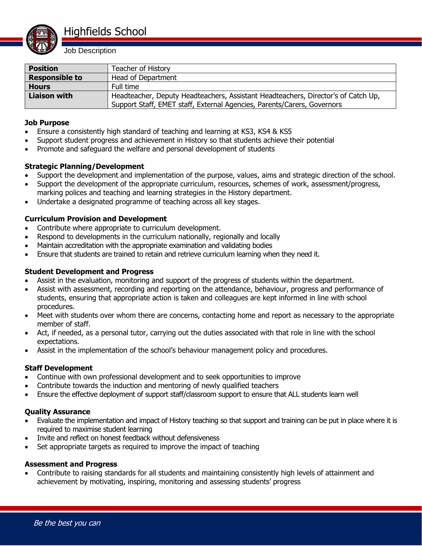

| <b>Position</b>       | Teacher of History                                                                |
|-----------------------|-----------------------------------------------------------------------------------|
| <b>Responsible to</b> | Head of Department                                                                |
| <b>Hours</b>          | Full time                                                                         |
| Liaison with          | Headteacher, Deputy Headteachers, Assistant Headteachers, Director's of Catch Up, |
|                       | Support Staff, EMET staff, External Agencies, Parents/Carers, Governors           |

#### **Job Purpose**

- Ensure a consistently high standard of teaching and learning at KS3, KS4 & KS5
- Support student progress and achievement in History so that students achieve their potential
- Promote and safeguard the welfare and personal development of students

# **Strategic Planning/Development**

- Support the development and implementation of the purpose, values, aims and strategic direction of the school.
- Support the development of the appropriate curriculum, resources, schemes of work, assessment/progress, marking polices and teaching and learning strategies in the History department.
- Undertake a designated programme of teaching across all key stages.

# **Curriculum Provision and Development**

- Contribute where appropriate to curriculum development.
- Respond to developments in the curriculum nationally, regionally and locally
- Maintain accreditation with the appropriate examination and validating bodies
- Ensure that students are trained to retain and retrieve curriculum learning when they need it.

#### **Student Development and Progress**

- Assist in the evaluation, monitoring and support of the progress of students within the department.
- Assist with assessment, recording and reporting on the attendance, behaviour, progress and performance of students, ensuring that appropriate action is taken and colleagues are kept informed in line with school procedures.
- Meet with students over whom there are concerns, contacting home and report as necessary to the appropriate member of staff.
- Act, if needed, as a personal tutor, carrying out the duties associated with that role in line with the school expectations.
- Assist in the implementation of the school's behaviour management policy and procedures.

# **Staff Development**

- Continue with own professional development and to seek opportunities to improve
- Contribute towards the induction and mentoring of newly qualified teachers
- Ensure the effective deployment of support staff/classroom support to ensure that ALL students learn well

#### **Quality Assurance**

- Evaluate the implementation and impact of History teaching so that support and training can be put in place where it is required to maximise student learning
- Invite and reflect on honest feedback without defensiveness
- Set appropriate targets as required to improve the impact of teaching

#### **Assessment and Progress**

 Contribute to raising standards for all students and maintaining consistently high levels of attainment and achievement by motivating, inspiring, monitoring and assessing students' progress